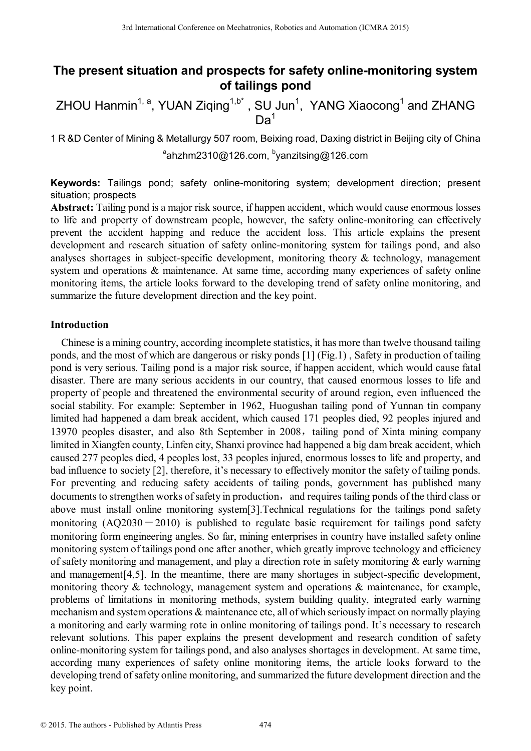# **The present situation and prospects for safety online-monitoring system of tailings pond**

ZHOU Hanmin<sup>1, a</sup>, YUAN Ziqing<sup>1,b\*</sup>, SU Jun<sup>1</sup>, YANG Xiaocong<sup>1</sup> and ZHANG  $Da<sup>1</sup>$ 

1 R &D Center of Mining & Metallurgy 507 room, Beixing road, Daxing district in Beijing city of China <sup>a</sup>ahzhm2310@126.com, <sup>b</sup>yanzitsing@126.com

**Keywords:** Tailings pond; safety online-monitoring system; development direction; present situation; prospects

**Abstract:** Tailing pond is a major risk source, if happen accident, which would cause enormous losses to life and property of downstream people, however, the safety online-monitoring can effectively prevent the accident happing and reduce the accident loss. This article explains the present development and research situation of safety online-monitoring system for tailings pond, and also analyses shortages in subject-specific development, monitoring theory & technology, management system and operations  $\&$  maintenance. At same time, according many experiences of safety online monitoring items, the article looks forward to the developing trend of safety online monitoring, and summarize the future development direction and the key point.

## **Introduction**

Chinese is a mining country, according incomplete statistics, it has more than twelve thousand tailing ponds, and the most of which are dangerous or risky ponds [1] (Fig.1) , Safety in production of tailing pond is very serious. Tailing pond is a major risk source, if happen accident, which would cause fatal disaster. There are many serious accidents in our country, that caused enormous losses to life and property of people and threatened the environmental security of around region, even influenced the social stability. For example: September in 1962, Huogushan tailing pond of Yunnan tin company limited had happened a dam break accident, which caused 171 peoples died, 92 peoples injured and 13970 peoples disaster, and also 8th September in 2008, tailing pond of Xinta mining company limited in Xiangfen county, Linfen city, Shanxi province had happened a big dam break accident, which caused 277 peoples died, 4 peoples lost, 33 peoples injured, enormous losses to life and property, and bad influence to society [2], therefore, it's necessary to effectively monitor the safety of tailing ponds. For preventing and reducing safety accidents of tailing ponds, government has published many documents to strengthen works of safety in production, and requires tailing ponds of the third class or above must install online monitoring system[3].Technical regulations for the tailings pond safety monitoring  $(AQ2030-2010)$  is published to regulate basic requirement for tailings pond safety monitoring form engineering angles. So far, mining enterprises in country have installed safety online monitoring system of tailings pond one after another, which greatly improve technology and efficiency of safety monitoring and management, and play a direction rote in safety monitoring  $\&$  early warning and management[4,5]. In the meantime, there are many shortages in subject-specific development, monitoring theory & technology, management system and operations & maintenance, for example, problems of limitations in monitoring methods, system building quality, integrated early warning mechanism and system operations & maintenance etc, all of which seriously impact on normally playing a monitoring and early warming rote in online monitoring of tailings pond. It's necessary to research relevant solutions. This paper explains the present development and research condition of safety online-monitoring system for tailings pond, and also analyses shortages in development. At same time, according many experiences of safety online monitoring items, the article looks forward to the developing trend of safety online monitoring, and summarized the future development direction and the key point. 3rd International Conference Mecharronics, Robotics and Automatic/Collection 2017<br>
27 The present situation and prospects for safety online-monitor<br>
27 The DC Denter of Mining & Wealingtony 567 room, Fasiving road, David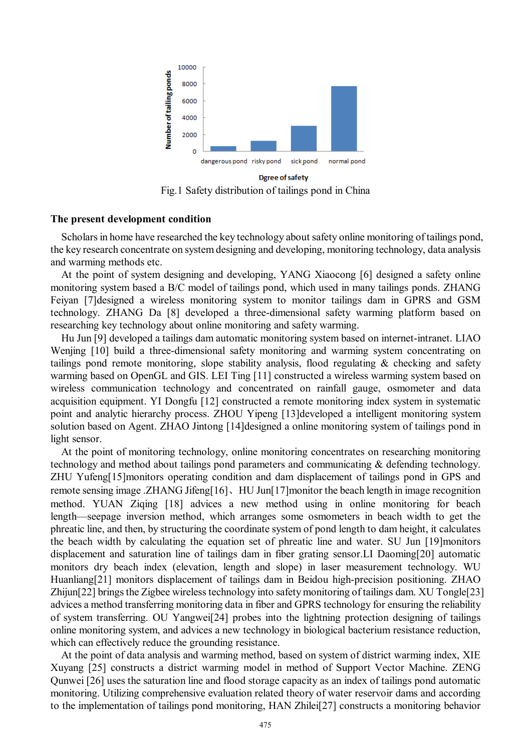

Fig.1 Safety distribution of tailings pond in China

## **The present development condition**

Scholars in home have researched the key technology about safety online monitoring of tailings pond, the key research concentrate on system designing and developing, monitoring technology, data analysis and warming methods etc.

At the point of system designing and developing, YANG Xiaocong [6] designed a safety online monitoring system based a B/C model of tailings pond, which used in many tailings ponds. ZHANG Feiyan [7]designed a wireless monitoring system to monitor tailings dam in GPRS and GSM technology. ZHANG Da [8] developed a three-dimensional safety warming platform based on researching key technology about online monitoring and safety warming.

Hu Jun [9] developed a tailings dam automatic monitoring system based on internet-intranet. LIAO Wenjing [10] build a three-dimensional safety monitoring and warming system concentrating on tailings pond remote monitoring, slope stability analysis, flood regulating & checking and safety warming based on OpenGL and GIS. LEI Ting [11] constructed a wireless warming system based on wireless communication technology and concentrated on rainfall gauge, osmometer and data acquisition equipment. YI Dongfu [12] constructed a remote monitoring index system in systematic point and analytic hierarchy process. ZHOU Yipeng [13]developed a intelligent monitoring system solution based on Agent. ZHAO Jintong [14]designed a online monitoring system of tailings pond in light sensor.

At the point of monitoring technology, online monitoring concentrates on researching monitoring technology and method about tailings pond parameters and communicating & defending technology. ZHU Yufeng[15]monitors operating condition and dam displacement of tailings pond in GPS and remote sensing image .ZHANG Jifeng[16]、HU Jun[17]monitor the beach length in image recognition method. YUAN Ziqing [18] advices a new method using in online monitoring for beach length—seepage inversion method, which arranges some osmometers in beach width to get the phreatic line, and then, by structuring the coordinate system of pond length to dam height, it calculates the beach width by calculating the equation set of phreatic line and water. SU Jun [19]monitors displacement and saturation line of tailings dam in fiber grating sensor.LI Daoming[20] automatic monitors dry beach index (elevation, length and slope) in laser measurement technology. WU Huanliang[21] monitors displacement of tailings dam in Beidou high-precision positioning. ZHAO Zhijun[22] brings the Zigbee wireless technology into safety monitoring of tailings dam. XU Tongle[23] advices a method transferring monitoring data in fiber and GPRS technology for ensuring the reliability of system transferring. OU Yangwei[24] probes into the lightning protection designing of tailings online monitoring system, and advices a new technology in biological bacterium resistance reduction, which can effectively reduce the grounding resistance.

At the point of data analysis and warming method, based on system of district warming index, XIE Xuyang [25] constructs a district warming model in method of Support Vector Machine. ZENG Qunwei [26] uses the saturation line and flood storage capacity as an index of tailings pond automatic monitoring. Utilizing comprehensive evaluation related theory of water reservoir dams and according to the implementation of tailings pond monitoring, HAN Zhilei[27] constructs a monitoring behavior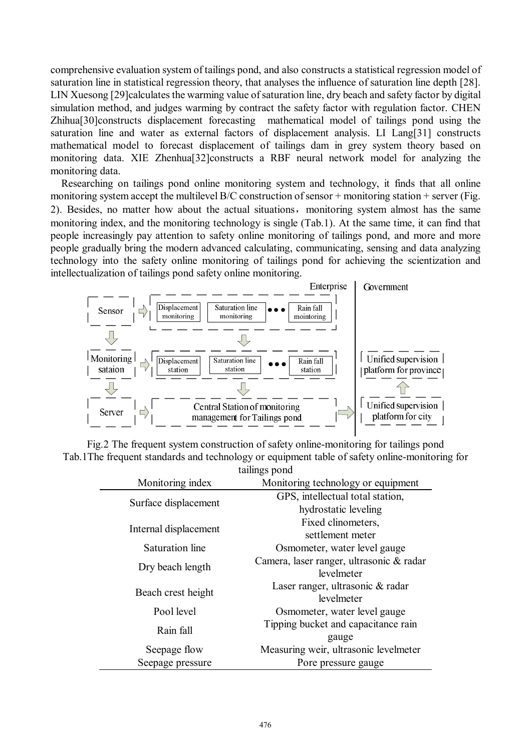comprehensive evaluation system of tailings pond, and also constructs a statistical regression model of saturation line in statistical regression theory, that analyses the influence of saturation line depth [28]. LIN Xuesong [29]calculates the warming value of saturation line, dry beach and safety factor by digital simulation method, and judges warming by contract the safety factor with regulation factor. CHEN Zhihua[30]constructs displacement forecasting mathematical model of tailings pond using the saturation line and water as external factors of displacement analysis. LI Lang[31] constructs mathematical model to forecast displacement of tailings dam in grey system theory based on monitoring data. XIE Zhenhua[32]constructs a RBF neural network model for analyzing the monitoring data.

Researching on tailings pond online monitoring system and technology, it finds that all online monitoring system accept the multilevel  $B/C$  construction of sensor + monitoring station + server (Fig. 2). Besides, no matter how about the actual situations, monitoring system almost has the same monitoring index, and the monitoring technology is single (Tab.1). At the same time, it can find that people increasingly pay attention to safety online monitoring of tailings pond, and more and more people gradually bring the modern advanced calculating, communicating, sensing and data analyzing technology into the safety online monitoring of tailings pond for achieving the scientization and intellectualization of tailings pond safety online monitoring.



Fig.2 The frequent system construction of safety online-monitoring for tailings pond Tab.1The frequent standards and technology or equipment table of safety online-monitoring for tailings pond

| taningo ponu          |                                          |
|-----------------------|------------------------------------------|
| Monitoring index      | Monitoring technology or equipment       |
| Surface displacement  | GPS, intellectual total station,         |
|                       | hydrostatic leveling                     |
| Internal displacement | Fixed clinometers,                       |
|                       | settlement meter                         |
| Saturation line       | Osmometer, water level gauge             |
| Dry beach length      | Camera, laser ranger, ultrasonic & radar |
|                       | levelmeter                               |
| Beach crest height    | Laser ranger, ultrasonic & radar         |
|                       | levelmeter                               |
| Pool level            | Osmometer, water level gauge             |
| Rain fall             | Tipping bucket and capacitance rain      |
|                       | gauge                                    |
| Seepage flow          | Measuring weir, ultrasonic levelmeter    |
| Seepage pressure      | Pore pressure gauge                      |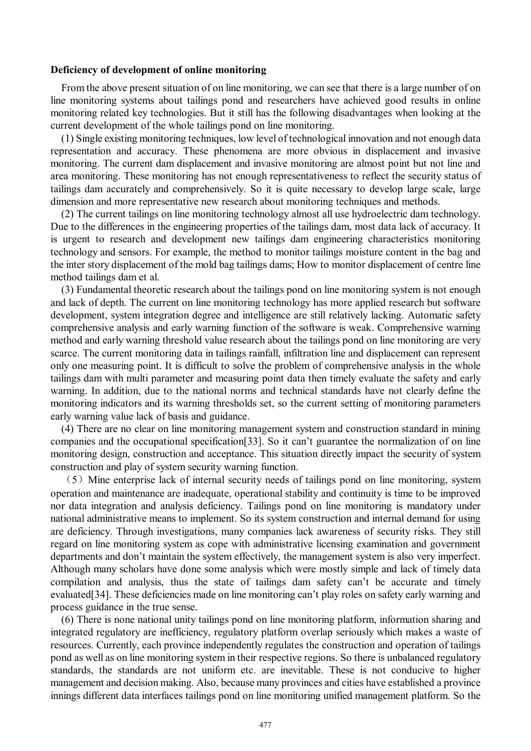#### **Deficiency of development of online monitoring**

From the above present situation of on line monitoring, we can see that there is a large number of on line monitoring systems about tailings pond and researchers have achieved good results in online monitoring related key technologies. But it still has the following disadvantages when looking at the current development of the whole tailings pond on line monitoring.

(1) Single existing monitoring techniques, low level of technological innovation and not enough data representation and accuracy. These phenomena are more obvious in displacement and invasive monitoring. The current dam displacement and invasive monitoring are almost point but not line and area monitoring. These monitoring has not enough representativeness to reflect the security status of tailings dam accurately and comprehensively. So it is quite necessary to develop large scale, large dimension and more representative new research about monitoring techniques and methods.

(2) The current tailings on line monitoring technology almost all use hydroelectric dam technology. Due to the differences in the engineering properties of the tailings dam, most data lack of accuracy. It is urgent to research and development new tailings dam engineering characteristics monitoring technology and sensors. For example, the method to monitor tailings moisture content in the bag and the inter story displacement of the mold bag tailings dams; How to monitor displacement of centre line method tailings dam et al.

(3) Fundamental theoretic research about the tailings pond on line monitoring system is not enough and lack of depth. The current on line monitoring technology has more applied research but software development, system integration degree and intelligence are still relatively lacking. Automatic safety comprehensive analysis and early warning function of the software is weak. Comprehensive warning method and early warning threshold value research about the tailings pond on line monitoring are very scarce. The current monitoring data in tailings rainfall, infiltration line and displacement can represent only one measuring point. It is difficult to solve the problem of comprehensive analysis in the whole tailings dam with multi parameter and measuring point data then timely evaluate the safety and early warning. In addition, due to the national norms and technical standards have not clearly define the monitoring indicators and its warning thresholds set, so the current setting of monitoring parameters early warning value lack of basis and guidance.

(4) There are no clear on line monitoring management system and construction standard in mining companies and the occupational specification[33]. So it can't guarantee the normalization of on line monitoring design, construction and acceptance. This situation directly impact the security of system construction and play of system security warning function.

(5)Mine enterprise lack of internal security needs of tailings pond on line monitoring, system operation and maintenance are inadequate, operational stability and continuity is time to be improved nor data integration and analysis deficiency. Tailings pond on line monitoring is mandatory under national administrative means to implement. So its system construction and internal demand for using are deficiency. Through investigations, many companies lack awareness of security risks. They still regard on line monitoring system as cope with administrative licensing examination and government departments and don't maintain the system effectively, the management system is also very imperfect. Although many scholars have done some analysis which were mostly simple and lack of timely data compilation and analysis, thus the state of tailings dam safety can't be accurate and timely evaluated[34]. These deficiencies made on line monitoring can't play roles on safety early warning and process guidance in the true sense.

(6) There is none national unity tailings pond on line monitoring platform, information sharing and integrated regulatory are inefficiency, regulatory platform overlap seriously which makes a waste of resources. Currently, each province independently regulates the construction and operation of tailings pond as well as on line monitoring system in their respective regions. So there is unbalanced regulatory standards, the standards are not uniform etc. are inevitable. These is not conducive to higher management and decision making. Also, because many provinces and cities have established a province innings different data interfaces tailings pond on line monitoring unified management platform. So the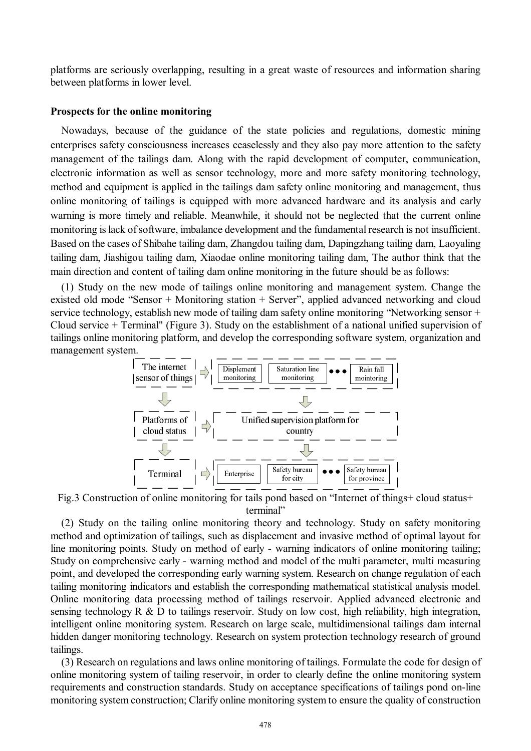platforms are seriously overlapping, resulting in a great waste of resources and information sharing between platforms in lower level.

### **Prospects for the online monitoring**

Nowadays, because of the guidance of the state policies and regulations, domestic mining enterprises safety consciousness increases ceaselessly and they also pay more attention to the safety management of the tailings dam. Along with the rapid development of computer, communication, electronic information as well as sensor technology, more and more safety monitoring technology, method and equipment is applied in the tailings dam safety online monitoring and management, thus online monitoring of tailings is equipped with more advanced hardware and its analysis and early warning is more timely and reliable. Meanwhile, it should not be neglected that the current online monitoring is lack of software, imbalance development and the fundamental research is not insufficient. Based on the cases of Shibahe tailing dam, Zhangdou tailing dam, Dapingzhang tailing dam, Laoyaling tailing dam, Jiashigou tailing dam, Xiaodae online monitoring tailing dam, The author think that the main direction and content of tailing dam online monitoring in the future should be as follows:

(1) Study on the new mode of tailings online monitoring and management system. Change the existed old mode "Sensor + Monitoring station + Server", applied advanced networking and cloud service technology, establish new mode of tailing dam safety online monitoring "Networking sensor + Cloud service + Terminal" (Figure 3). Study on the establishment of a national unified supervision of tailings online monitoring platform, and develop the corresponding software system, organization and management system.



Fig.3 Construction of online monitoring for tails pond based on "Internet of things+ cloud status+ terminal"

(2) Study on the tailing online monitoring theory and technology. Study on safety monitoring method and optimization of tailings, such as displacement and invasive method of optimal layout for line monitoring points. Study on method of early - warning indicators of online monitoring tailing; Study on comprehensive early - warning method and model of the multi parameter, multi measuring point, and developed the corresponding early warning system. Research on change regulation of each tailing monitoring indicators and establish the corresponding mathematical statistical analysis model. Online monitoring data processing method of tailings reservoir. Applied advanced electronic and sensing technology R & D to tailings reservoir. Study on low cost, high reliability, high integration, intelligent online monitoring system. Research on large scale, multidimensional tailings dam internal hidden danger monitoring technology. Research on system protection technology research of ground tailings.

(3) Research on regulations and laws online monitoring of tailings. Formulate the code for design of online monitoring system of tailing reservoir, in order to clearly define the online monitoring system requirements and construction standards. Study on acceptance specifications of tailings pond on-line monitoring system construction; Clarify online monitoring system to ensure the quality of construction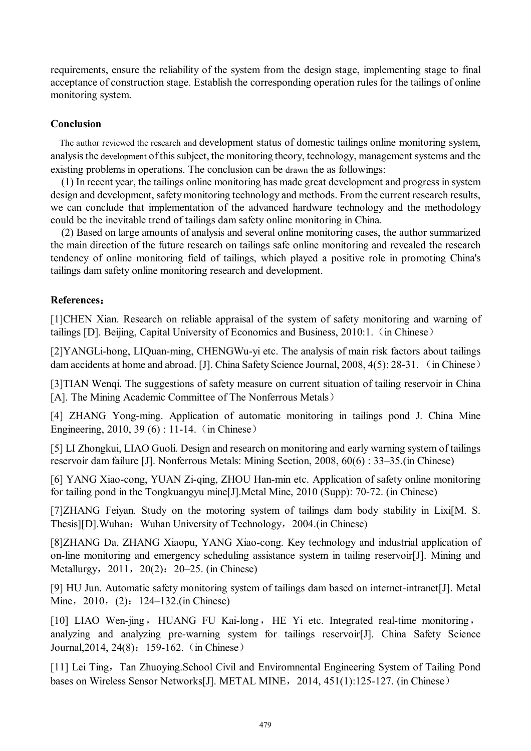requirements, ensure the reliability of the system from the design stage, implementing stage to final acceptance of construction stage. Establish the corresponding operation rules for the tailings of online monitoring system.

# **Conclusion**

The author reviewed the research and development status of domestic tailings online monitoring system, analysis the development of this subject, the monitoring theory, technology, management systems and the existing problems in operations. The conclusion can be drawn the as followings:

(1) In recent year, the tailings online monitoring has made great development and progress in system design and development, safety monitoring technology and methods. From the current research results, we can conclude that implementation of the advanced hardware technology and the methodology could be the inevitable trend of tailings dam safety online monitoring in China.

(2) Based on large amounts of analysis and several online monitoring cases, the author summarized the main direction of the future research on tailings safe online monitoring and revealed the research tendency of online monitoring field of tailings, which played a positive role in promoting China's tailings dam safety online monitoring research and development.

## **References:**

[1]CHEN Xian. Research on reliable appraisal of the system of safety monitoring and warning of tailings [D]. Beijing, Capital University of Economics and Business, 2010:1.(in Chinese)

[2]YANGLi-hong, LIQuan-ming, CHENGWu-yi etc. The analysis of main risk factors about tailings dam accidents at home and abroad. [J]. China Safety Science Journal, 2008, 4(5): 28-31. (in Chinese)

[3]TIAN Wenqi. The suggestions of safety measure on current situation of tailing reservoir in China [A]. The Mining Academic Committee of The Nonferrous Metals)

[4] ZHANG Yong-ming. Application of automatic monitoring in tailings pond J. China Mine Engineering, 2010, 39 (6) : 11-14. (in Chinese)

[5] LI Zhongkui, LIAO Guoli. Design and research on monitoring and early warning system of tailings reservoir dam failure [J]. Nonferrous Metals: Mining Section, 2008, 60(6) : 33–35.(in Chinese)

[6] YANG Xiao-cong, YUAN Zi-qing, ZHOU Han-min etc. Application of safety online monitoring for tailing pond in the Tongkuangyu mine[J].Metal Mine, 2010 (Supp): 70-72. (in Chinese)

[7]ZHANG Feiyan. Study on the motoring system of tailings dam body stability in Lixi[M. S. Thesis][D].Wuhan: Wuhan University of Technology, 2004.(in Chinese)

[8]ZHANG Da, ZHANG Xiaopu, YANG Xiao-cong. Key technology and industrial application of on-line monitoring and emergency scheduling assistance system in tailing reservoir[J]. Mining and Metallurgy, 2011, 20(2): 20–25. (in Chinese)

[9] HU Jun. Automatic safety monitoring system of tailings dam based on internet-intranet[J]. Metal Mine, 2010, (2): 124–132.(in Chinese)

[10] LIAO Wen-jing, HUANG FU Kai-long, HE Yi etc. Integrated real-time monitoring, analyzing and analyzing pre-warning system for tailings reservoir[J]. China Safety Science Journal, 2014, 24(8): 159-162. (in Chinese)

[11] Lei Ting, Tan Zhuoying.School Civil and Enviromnental Engineering System of Tailing Pond bases on Wireless Sensor Networks[J]. METAL MINE, 2014, 451(1):125-127. (in Chinese)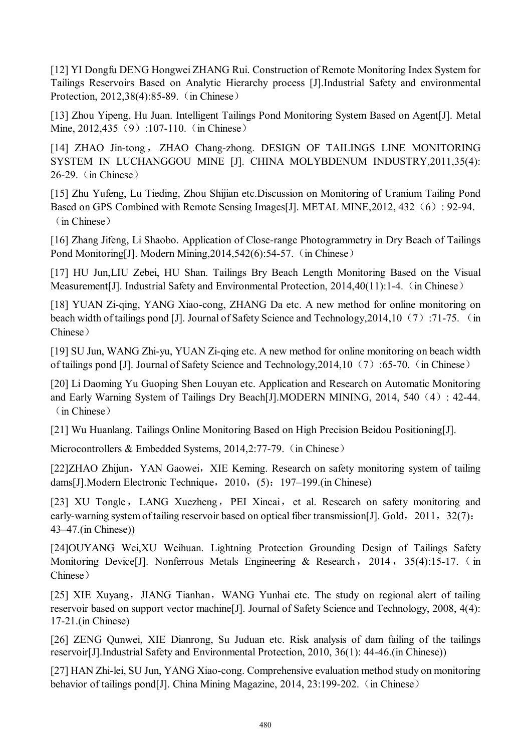[12] YI Dongfu DENG Hongwei ZHANG Rui. Construction of Remote Monitoring Index System for Tailings Reservoirs Based on Analytic Hierarchy process [J].Industrial Safety and environmental Protection, 2012.38(4):85-89. (in Chinese)

[13] Zhou Yipeng, Hu Juan. Intelligent Tailings Pond Monitoring System Based on Agent[J]. Metal Mine, 2012, 435 (9):107-110. (in Chinese)

[14] ZHAO Jin-tong, ZHAO Chang-zhong. DESIGN OF TAILINGS LINE MONITORING SYSTEM IN LUCHANGGOU MINE [J]. CHINA MOLYBDENUM INDUSTRY,2011,35(4): 26-29.(in Chinese)

[15] Zhu Yufeng, Lu Tieding, Zhou Shijian etc.Discussion on Monitoring of Uranium Tailing Pond Based on GPS Combined with Remote Sensing Images[J]. METAL MINE, 2012, 432 (6): 92-94. (in Chinese)

[16] Zhang Jifeng, Li Shaobo. Application of Close-range Photogrammetry in Dry Beach of Tailings Pond Monitoring[J]. Modern Mining, 2014, 542(6): 54-57. (in Chinese)

[17] HU Jun,LIU Zebei, HU Shan. Tailings Bry Beach Length Monitoring Based on the Visual Measurement [J]. Industrial Safety and Environmental Protection, 2014,40(11):1-4. (in Chinese)

[18] YUAN Zi-qing, YANG Xiao-cong, ZHANG Da etc. A new method for online monitoring on beach width of tailings pond [J]. Journal of Safety Science and Technology, 2014, 10 (7): 71-75. (in Chinese)

[19] SU Jun, WANG Zhi-yu, YUAN Zi-qing etc. A new method for online monitoring on beach width of tailings pond [J]. Journal of Safety Science and Technology,2014,10(7):65-70.(in Chinese)

[20] Li Daoming Yu Guoping Shen Louyan etc. Application and Research on Automatic Monitoring and Early Warning System of Tailings Dry Beach[J].MODERN MINING, 2014, 540(4): 42-44. (in Chinese)

[21] Wu Huanlang. Tailings Online Monitoring Based on High Precision Beidou Positioning[J].

Microcontrollers & Embedded Systems, 2014, 2:77-79. (in Chinese)

[22]ZHAO Zhijun, YAN Gaowei, XIE Keming. Research on safety monitoring system of tailing dams[J].Modern Electronic Technique,2010,(5):197–199.(in Chinese)

[23] XU Tongle, LANG Xuezheng, PEI Xincai, et al. Research on safety monitoring and early-warning system of tailing reservoir based on optical fiber transmission[J]. Gold, 2011, 32(7): 43–47.(in Chinese))

[24]OUYANG Wei,XU Weihuan. Lightning Protection Grounding Design of Tailings Safety Monitoring Device [J]. Nonferrous Metals Engineering & Research, 2014, 35(4):15-17. (in Chinese)

[25] XIE Xuyang, JIANG Tianhan, WANG Yunhai etc. The study on regional alert of tailing reservoir based on support vector machine[J]. Journal of Safety Science and Technology, 2008, 4(4): 17-21.(in Chinese)

[26] ZENG Qunwei, XIE Dianrong, Su Juduan etc. Risk analysis of dam failing of the tailings reservoir[J].Industrial Safety and Environmental Protection, 2010, 36(1): 44-46.(in Chinese))

[27] HAN Zhi-lei, SU Jun, YANG Xiao-cong. Comprehensive evaluation method study on monitoring behavior of tailings pond[J]. China Mining Magazine, 2014, 23:199-202. (in Chinese)